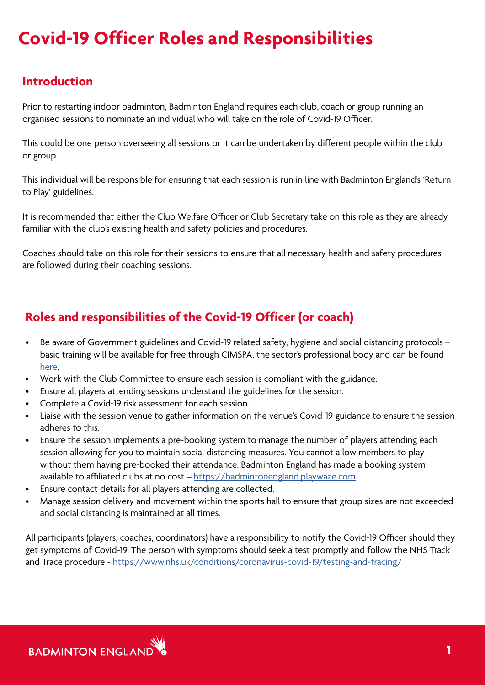## **Covid-19 Officer Roles and Responsibilities**

## **Introduction**

Prior to restarting indoor badminton, Badminton England requires each club, coach or group running an organised sessions to nominate an individual who will take on the role of Covid-19 Officer.

This could be one person overseeing all sessions or it can be undertaken by different people within the club or group.

This individual will be responsible for ensuring that each session is run in line with Badminton England's 'Return to Play' guidelines.

It is recommended that either the Club Welfare Officer or Club Secretary take on this role as they are already familiar with the club's existing health and safety policies and procedures.

Coaches should take on this role for their sessions to ensure that all necessary health and safety procedures are followed during their coaching sessions.

## **Roles and responsibilities of the Covid-19 Officer (or coach)**

- Be aware of Government guidelines and Covid-19 related safety, hygiene and social distancing protocols basic training will be available for free through CIMSPA, the sector's professional body and can be found [here](https://www.badmintonengland.co.uk/return-to-play/resources-tools-support/session-tools/reactivate-training/).
- Work with the Club Committee to ensure each session is compliant with the guidance.
- Ensure all players attending sessions understand the guidelines for the session.
- Complete a Covid-19 risk assessment for each session.
- Liaise with the session venue to gather information on the venue's Covid-19 guidance to ensure the session adheres to this.
- Ensure the session implements a pre-booking system to manage the number of players attending each session allowing for you to maintain social distancing measures. You cannot allow members to play without them having pre-booked their attendance. Badminton England has made a booking system available to affiliated clubs at no cost – [https://badmintonengland.playwaze.com.](https://badmintonengland.playwaze.com)
- Ensure contact details for all players attending are collected.
- Manage session delivery and movement within the sports hall to ensure that group sizes are not exceeded and social distancing is maintained at all times.

All participants (players, coaches, coordinators) have a responsibility to notify the Covid-19 Officer should they get symptoms of Covid-19. The person with symptoms should seek a test promptly and follow the NHS Track and Trace procedure - <https://www.nhs.uk/conditions/coronavirus-covid-19/testing-and-tracing/>